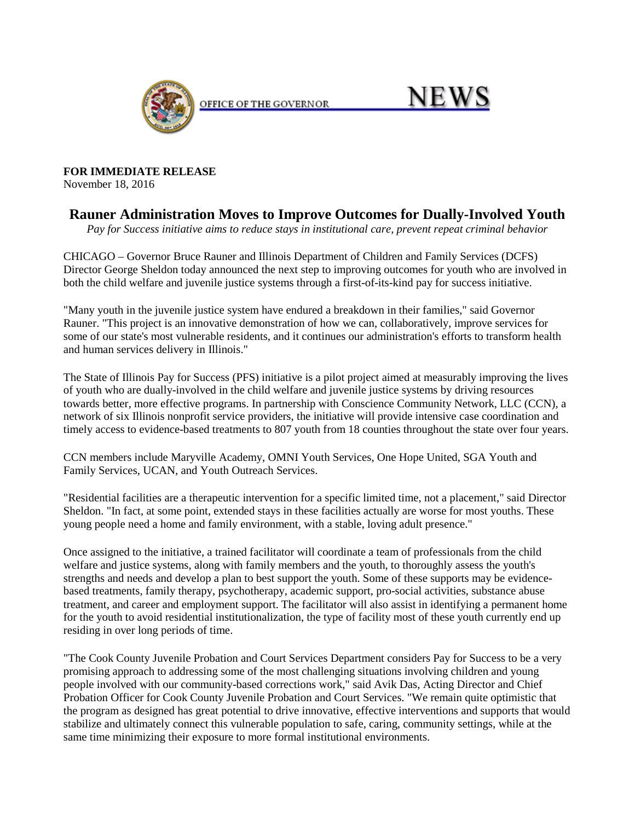

OFFICE OF THE GOVERNOR

## **NEWS**

**FOR IMMEDIATE RELEASE** November 18, 2016

## **Rauner Administration Moves to Improve Outcomes for Dually-Involved Youth**

*Pay for Success initiative aims to reduce stays in institutional care, prevent repeat criminal behavior*

CHICAGO – Governor Bruce Rauner and Illinois Department of Children and Family Services (DCFS) Director George Sheldon today announced the next step to improving outcomes for youth who are involved in both the child welfare and juvenile justice systems through a first-of-its-kind pay for success initiative.

"Many youth in the juvenile justice system have endured a breakdown in their families," said Governor Rauner. "This project is an innovative demonstration of how we can, collaboratively, improve services for some of our state's most vulnerable residents, and it continues our administration's efforts to transform health and human services delivery in Illinois."

The State of Illinois Pay for Success (PFS) initiative is a pilot project aimed at measurably improving the lives of youth who are dually-involved in the child welfare and juvenile justice systems by driving resources towards better, more effective programs. In partnership with Conscience Community Network, LLC (CCN), a network of six Illinois nonprofit service providers, the initiative will provide intensive case coordination and timely access to evidence-based treatments to 807 youth from 18 counties throughout the state over four years.

CCN members include Maryville Academy, OMNI Youth Services, One Hope United, SGA Youth and Family Services, UCAN, and Youth Outreach Services.

"Residential facilities are a therapeutic intervention for a specific limited time, not a placement," said Director Sheldon. "In fact, at some point, extended stays in these facilities actually are worse for most youths. These young people need a home and family environment, with a stable, loving adult presence."

Once assigned to the initiative, a trained facilitator will coordinate a team of professionals from the child welfare and justice systems, along with family members and the youth, to thoroughly assess the youth's strengths and needs and develop a plan to best support the youth. Some of these supports may be evidencebased treatments, family therapy, psychotherapy, academic support, pro-social activities, substance abuse treatment, and career and employment support. The facilitator will also assist in identifying a permanent home for the youth to avoid residential institutionalization, the type of facility most of these youth currently end up residing in over long periods of time.

"The Cook County Juvenile Probation and Court Services Department considers Pay for Success to be a very promising approach to addressing some of the most challenging situations involving children and young people involved with our community-based corrections work," said Avik Das, Acting Director and Chief Probation Officer for Cook County Juvenile Probation and Court Services. "We remain quite optimistic that the program as designed has great potential to drive innovative, effective interventions and supports that would stabilize and ultimately connect this vulnerable population to safe, caring, community settings, while at the same time minimizing their exposure to more formal institutional environments.